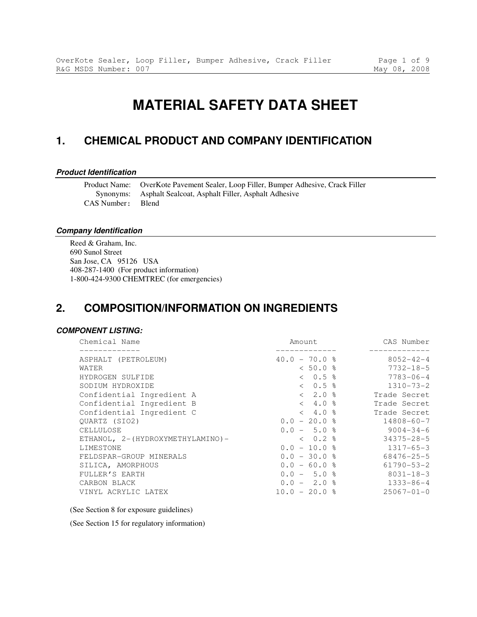# **MATERIAL SAFETY DATA SHEET**

### **1. CHEMICAL PRODUCT AND COMPANY IDENTIFICATION**

#### **Product Identification**

Product Name: OverKote Pavement Sealer, Loop Filler, Bumper Adhesive, Crack Filler Synonyms: Asphalt Sealcoat, Asphalt Filler, Asphalt Adhesive CAS Number: Blend

#### **Company Identification**

Reed & Graham, Inc. 690 Sunol Street San Jose, CA 95126 USA 408-287-1400 (For product information) 1-800-424-9300 CHEMTREC (for emergencies)

### **2. COMPOSITION/INFORMATION ON INGREDIENTS**

#### **COMPONENT LISTING:**

| Chemical Name                    | Amount          | CAS Number       |
|----------------------------------|-----------------|------------------|
| ASPHALT (PETROLEUM)              | $40.0 - 70.0$ % | $8052 - 42 - 4$  |
| WATER                            | $< 50.0$ %      | $7732 - 18 - 5$  |
| HYDROGEN SULFIDE                 | $< 0.5$ %       | $7783 - 06 - 4$  |
| SODIUM HYDROXIDE                 | $< 0.5$ %       | $1310 - 73 - 2$  |
| Confidential Ingredient A        | $< 2.0$ %       | Trade Secret     |
| Confidential Ingredient B        | $< 4.0$ %       | Trade Secret     |
| Confidential Ingredient C        | $< 4.0$ %       | Trade Secret     |
| OUARTZ (SIO2)                    | $0.0 - 20.0$ %  | $14808 - 60 - 7$ |
| CELLULOSE                        | $0.0 - 5.0$ %   | $9004 - 34 - 6$  |
| ETHANOL, 2-(HYDROXYMETHYLAMINO)- | $< 0.2$ %       | $34375 - 28 - 5$ |
| LIMESTONE                        | $0.0 - 10.0$ %  | $1317 - 65 - 3$  |
| FELDSPAR-GROUP MINERALS          | $0.0 - 30.0$ %  | $68476 - 25 - 5$ |
| SILICA, AMORPHOUS                | $0.0 - 60.0$ %  | $61790 - 53 - 2$ |
| FULLER'S EARTH                   | $0.0 - 5.0$ %   | $8031 - 18 - 3$  |
| CARBON BLACK                     | $0.0 - 2.0$ %   | $1333 - 86 - 4$  |
| VINYL ACRYLIC LATEX              | $10.0 - 20.0$ % | $25067 - 01 - 0$ |

#### (See Section 8 for exposure guidelines)

(See Section 15 for regulatory information)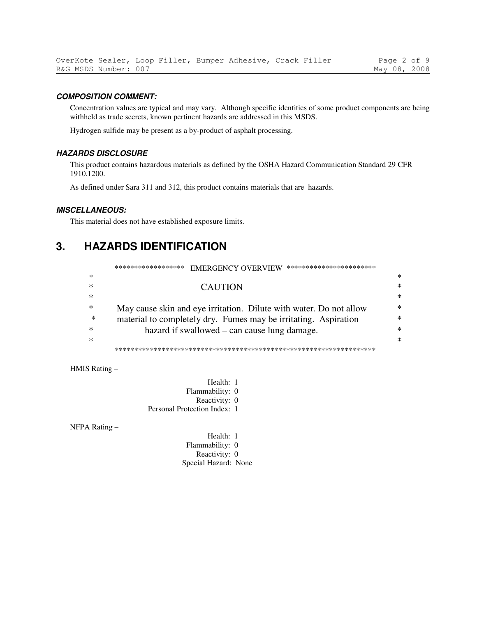#### **COMPOSITION COMMENT:**

Concentration values are typical and may vary. Although specific identities of some product components are being withheld as trade secrets, known pertinent hazards are addressed in this MSDS.

Hydrogen sulfide may be present as a by-product of asphalt processing.

#### **HAZARDS DISCLOSURE**

This product contains hazardous materials as defined by the OSHA Hazard Communication Standard 29 CFR 1910.1200.

As defined under Sara 311 and 312, this product contains materials that are hazards.

#### **MISCELLANEOUS:**

This material does not have established exposure limits.

#### $3<sub>1</sub>$ **HAZARDS IDENTIFICATION**

|        | ******************<br>***********************<br><b>EMERGENCY OVERVIEW</b> |        |
|--------|----------------------------------------------------------------------------|--------|
| $\ast$ |                                                                            | ∗      |
| $\ast$ | <b>CAUTION</b>                                                             | ∗      |
| $\ast$ |                                                                            | ∗      |
| ∗      | May cause skin and eye irritation. Dilute with water. Do not allow         | $\ast$ |
| ∗      | material to completely dry. Fumes may be irritating. Aspiration            | ж      |
| ∗      | hazard if swallowed – can cause lung damage.                               | ж      |
| ∗      |                                                                            | $\ast$ |
|        |                                                                            |        |

HMIS Rating-

Health: 1 Flammability: 0 Reactivity: 0 Personal Protection Index: 1

NFPA Rating -

Health: 1 Flammability: 0 Reactivity: 0 Special Hazard: None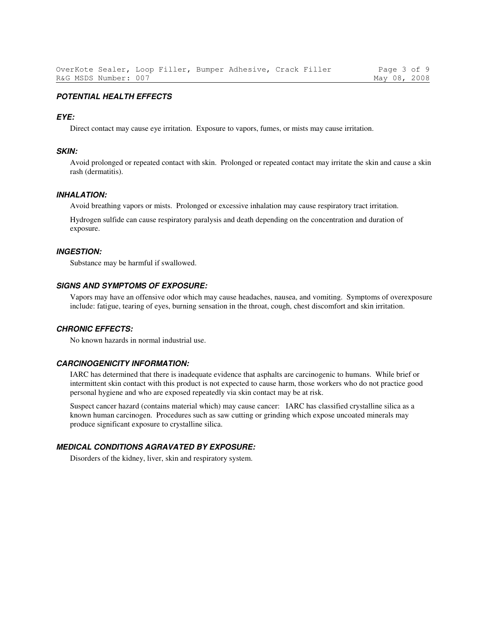#### **POTENTIAL HEALTH EFFECTS**

#### **EYE:**

Direct contact may cause eye irritation. Exposure to vapors, fumes, or mists may cause irritation.

#### **SKIN:**

Avoid prolonged or repeated contact with skin. Prolonged or repeated contact may irritate the skin and cause a skin rash (dermatitis).

#### **INHALATION:**

Avoid breathing vapors or mists. Prolonged or excessive inhalation may cause respiratory tract irritation.

Hydrogen sulfide can cause respiratory paralysis and death depending on the concentration and duration of exposure.

#### **INGESTION:**

Substance may be harmful if swallowed.

#### **SIGNS AND SYMPTOMS OF EXPOSURE:**

Vapors may have an offensive odor which may cause headaches, nausea, and vomiting. Symptoms of overexposure include: fatigue, tearing of eyes, burning sensation in the throat, cough, chest discomfort and skin irritation.

#### **CHRONIC EFFECTS:**

No known hazards in normal industrial use.

#### **CARCINOGENICITY INFORMATION:**

IARC has determined that there is inadequate evidence that asphalts are carcinogenic to humans. While brief or intermittent skin contact with this product is not expected to cause harm, those workers who do not practice good personal hygiene and who are exposed repeatedly via skin contact may be at risk.

Suspect cancer hazard (contains material which) may cause cancer: IARC has classified crystalline silica as a known human carcinogen. Procedures such as saw cutting or grinding which expose uncoated minerals may produce significant exposure to crystalline silica.

#### **MEDICAL CONDITIONS AGRAVATED BY EXPOSURE:**

Disorders of the kidney, liver, skin and respiratory system.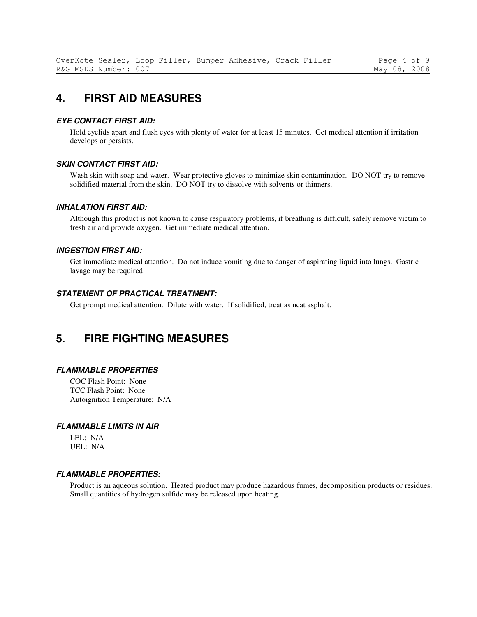### **4. FIRST AID MEASURES**

#### **EYE CONTACT FIRST AID:**

Hold eyelids apart and flush eyes with plenty of water for at least 15 minutes. Get medical attention if irritation develops or persists.

#### **SKIN CONTACT FIRST AID:**

Wash skin with soap and water. Wear protective gloves to minimize skin contamination. DO NOT try to remove solidified material from the skin. DO NOT try to dissolve with solvents or thinners.

#### **INHALATION FIRST AID:**

Although this product is not known to cause respiratory problems, if breathing is difficult, safely remove victim to fresh air and provide oxygen. Get immediate medical attention.

#### **INGESTION FIRST AID:**

Get immediate medical attention. Do not induce vomiting due to danger of aspirating liquid into lungs. Gastric lavage may be required.

#### **STATEMENT OF PRACTICAL TREATMENT:**

Get prompt medical attention. Dilute with water. If solidified, treat as neat asphalt.

### **5. FIRE FIGHTING MEASURES**

#### **FLAMMABLE PROPERTIES**

COC Flash Point: None TCC Flash Point: None Autoignition Temperature: N/A

#### **FLAMMABLE LIMITS IN AIR**

LEL: N/A UEL: N/A

#### **FLAMMABLE PROPERTIES:**

Product is an aqueous solution. Heated product may produce hazardous fumes, decomposition products or residues. Small quantities of hydrogen sulfide may be released upon heating.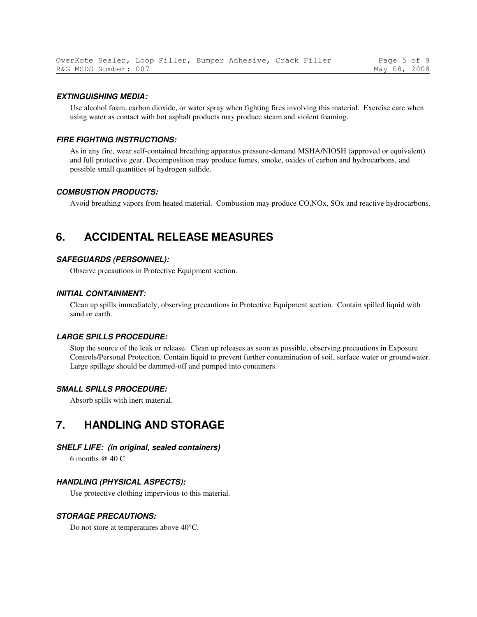#### **EXTINGUISHING MEDIA:**

Use alcohol foam, carbon dioxide, or water spray when fighting fires involving this material. Exercise care when using water as contact with hot asphalt products may produce steam and violent foaming.

#### **FIRE FIGHTING INSTRUCTIONS:**

As in any fire, wear self-contained breathing apparatus pressure-demand MSHA/NIOSH (approved or equivalent) and full protective gear. Decomposition may produce fumes, smoke, oxides of carbon and hydrocarbons, and possible small quantities of hydrogen sulfide.

#### **COMBUSTION PRODUCTS:**

Avoid breathing vapors from heated material. Combustion may produce CO,NOx, SOx and reactive hydrocarbons.

### **6. ACCIDENTAL RELEASE MEASURES**

#### **SAFEGUARDS (PERSONNEL):**

Observe precautions in Protective Equipment section.

#### **INITIAL CONTAINMENT:**

Clean up spills immediately, observing precautions in Protective Equipment section. Contain spilled liquid with sand or earth.

#### **LARGE SPILLS PROCEDURE:**

Stop the source of the leak or release. Clean up releases as soon as possible, observing precautions in Exposure Controls/Personal Protection. Contain liquid to prevent further contamination of soil, surface water or groundwater. Large spillage should be dammed-off and pumped into containers.

#### **SMALL SPILLS PROCEDURE:**

Absorb spills with inert material.

### **7. HANDLING AND STORAGE**

#### **SHELF LIFE: (in original, sealed containers)**

6 months @ 40 C

#### **HANDLING (PHYSICAL ASPECTS):**

Use protective clothing impervious to this material.

#### **STORAGE PRECAUTIONS:**

Do not store at temperatures above 40°C.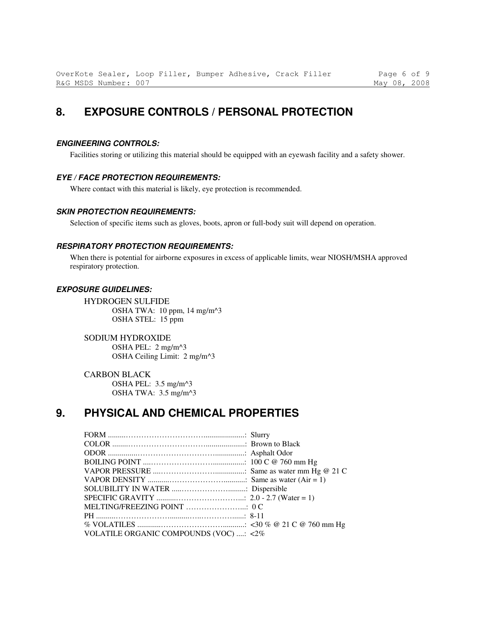## **8. EXPOSURE CONTROLS / PERSONAL PROTECTION**

#### **ENGINEERING CONTROLS:**

Facilities storing or utilizing this material should be equipped with an eyewash facility and a safety shower.

#### **EYE / FACE PROTECTION REQUIREMENTS:**

Where contact with this material is likely, eye protection is recommended.

#### **SKIN PROTECTION REQUIREMENTS:**

Selection of specific items such as gloves, boots, apron or full-body suit will depend on operation.

#### **RESPIRATORY PROTECTION REQUIREMENTS:**

When there is potential for airborne exposures in excess of applicable limits, wear NIOSH/MSHA approved respiratory protection.

#### **EXPOSURE GUIDELINES:**

HYDROGEN SULFIDE OSHA TWA: 10 ppm, 14 mg/m^3 OSHA STEL: 15 ppm

SODIUM HYDROXIDE OSHA PEL: 2 mg/m^3 OSHA Ceiling Limit: 2 mg/m^3

CARBON BLACK OSHA PEL: 3.5 mg/m^3 OSHA TWA: 3.5 mg/m^3

### **9. PHYSICAL AND CHEMICAL PROPERTIES**

| VOLATILE ORGANIC COMPOUNDS (VOC) : <2% |  |
|----------------------------------------|--|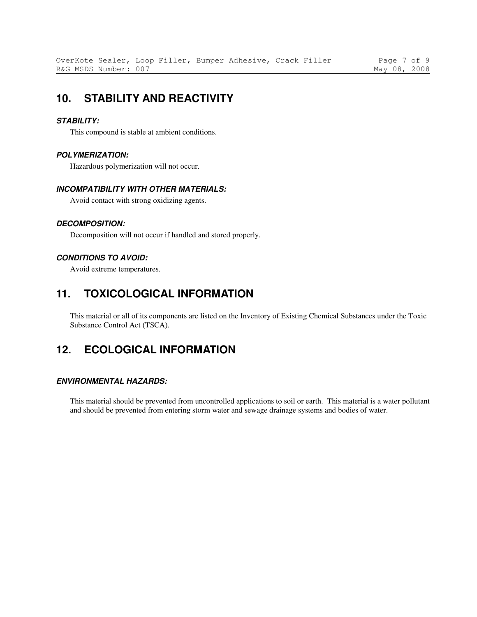### **10. STABILITY AND REACTIVITY**

#### **STABILITY:**

This compound is stable at ambient conditions.

#### **POLYMERIZATION:**

Hazardous polymerization will not occur.

### **INCOMPATIBILITY WITH OTHER MATERIALS:**

Avoid contact with strong oxidizing agents.

#### **DECOMPOSITION:**

Decomposition will not occur if handled and stored properly.

#### **CONDITIONS TO AVOID:**

Avoid extreme temperatures.

### **11. TOXICOLOGICAL INFORMATION**

This material or all of its components are listed on the Inventory of Existing Chemical Substances under the Toxic Substance Control Act (TSCA).

### **12. ECOLOGICAL INFORMATION**

#### **ENVIRONMENTAL HAZARDS:**

This material should be prevented from uncontrolled applications to soil or earth. This material is a water pollutant and should be prevented from entering storm water and sewage drainage systems and bodies of water.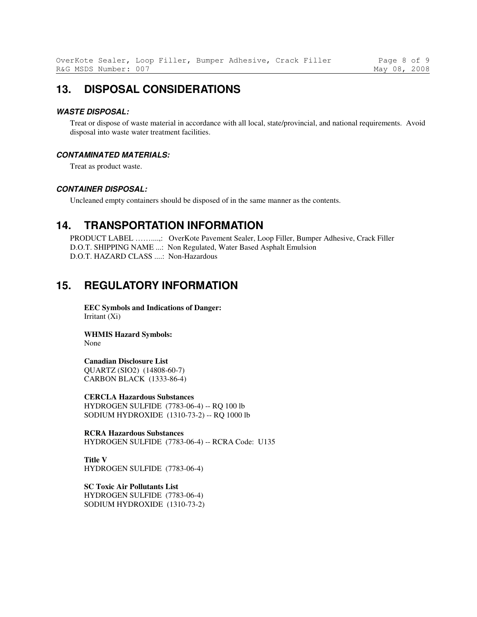### **13. DISPOSAL CONSIDERATIONS**

#### **WASTE DISPOSAL:**

Treat or dispose of waste material in accordance with all local, state/provincial, and national requirements. Avoid disposal into waste water treatment facilities.

#### **CONTAMINATED MATERIALS:**

Treat as product waste.

#### **CONTAINER DISPOSAL:**

Uncleaned empty containers should be disposed of in the same manner as the contents.

### **14. TRANSPORTATION INFORMATION**

PRODUCT LABEL ……....,: OverKote Pavement Sealer, Loop Filler, Bumper Adhesive, Crack Filler D.O.T. SHIPPING NAME ...: Non Regulated, Water Based Asphalt Emulsion D.O.T. HAZARD CLASS ....: Non-Hazardous

### **15. REGULATORY INFORMATION**

**EEC Symbols and Indications of Danger:**  Irritant (Xi)

**WHMIS Hazard Symbols:**  None

#### **Canadian Disclosure List**

QUARTZ (SIO2) (14808-60-7) CARBON BLACK (1333-86-4)

**CERCLA Hazardous Substances**  HYDROGEN SULFIDE (7783-06-4) -- RQ 100 lb SODIUM HYDROXIDE (1310-73-2) -- RQ 1000 lb

**RCRA Hazardous Substances**  HYDROGEN SULFIDE (7783-06-4) -- RCRA Code: U135

**Title V**  HYDROGEN SULFIDE (7783-06-4)

**SC Toxic Air Pollutants List**  HYDROGEN SULFIDE (7783-06-4) SODIUM HYDROXIDE (1310-73-2)